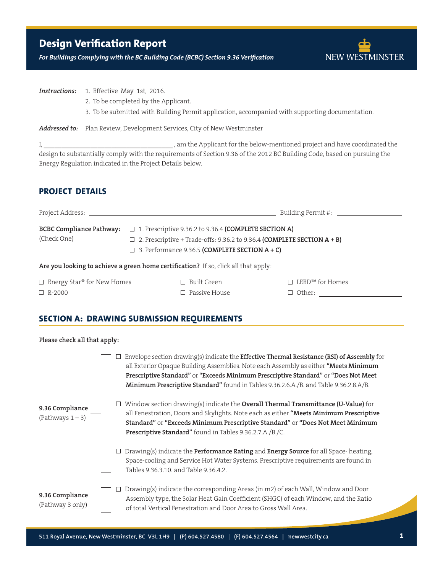# **Design Verification Report**

*For Buildings Complying with the BC Building Code (BCBC) Section 9.36 Verification*



□ Other:

**Instructions:** 1. Effective May 1st, 2016.

- 2. To be completed by the Applicant.
- 3. To be submitted with Building Permit application, accompanied with supporting documentation.

**Addressed to:** Plan Review, Development Services, City of New Westminster

I, \_\_\_\_\_\_\_\_\_\_\_\_\_\_\_\_\_\_\_\_\_\_\_\_\_\_\_\_\_\_\_\_\_\_\_\_ , am the Applicant for the below-mentioned project and have coordinated the design to substantially comply with the requirements of Section 9.36 of the 2012 BC Building Code, based on pursuing the Energy Regulation indicated in the Project Details below.

### **Project Details**

|                                                |                                                                                                                       | Building Permit #: \[\]                                                           |  |  |
|------------------------------------------------|-----------------------------------------------------------------------------------------------------------------------|-----------------------------------------------------------------------------------|--|--|
| <b>BCBC Compliance Pathway:</b><br>(Check One) | $\Box$ 1. Prescriptive 9.36.2 to 9.36.4 (COMPLETE SECTION A)<br>$\Box$ 3. Performance 9.36.5 (COMPLETE SECTION A + C) | $\Box$ 2. Prescriptive + Trade-offs: 9.36.2 to 9.36.4 (COMPLETE SECTION $A + B$ ) |  |  |
|                                                | Are you looking to achieve a green home certification? If so, click all that apply:                                   |                                                                                   |  |  |
| $\Box$ Energy Star® for New Homes              | $\Box$ Built Green                                                                                                    | $LEED^{TM}$ for Homes                                                             |  |  |

□ Passive House

## **SECTION A: DRAWING SUBMISSION REQUIREMENTS**

#### **Please check all that apply:**

R-2000

|                                        | Envelope section drawing(s) indicate the <b>Effective Thermal Resistance (RSI) of Assembly</b> for<br>all Exterior Opaque Building Assemblies. Note each Assembly as either "Meets Minimum<br>Prescriptive Standard" or "Exceeds Minimum Prescriptive Standard" or "Does Not Meet<br>Minimum Prescriptive Standard" found in Tables 9.36.2.6.A./B. and Table 9.36.2.8.A/B.<br>Window section drawing(s) indicate the <b>Overall Thermal Transmittance (U-Value)</b> for |  |  |
|----------------------------------------|-------------------------------------------------------------------------------------------------------------------------------------------------------------------------------------------------------------------------------------------------------------------------------------------------------------------------------------------------------------------------------------------------------------------------------------------------------------------------|--|--|
| 9.36 Compliance<br>(Pathways $1 - 3$ ) | all Fenestration, Doors and Skylights. Note each as either "Meets Minimum Prescriptive<br>Standard" or "Exceeds Minimum Prescriptive Standard" or "Does Not Meet Minimum<br>Prescriptive Standard" found in Tables 9.36.2.7.A./B./C.                                                                                                                                                                                                                                    |  |  |
|                                        | Drawing(s) indicate the <b>Performance Rating</b> and <b>Energy Source</b> for all Space-heating,<br>Space-cooling and Service Hot Water Systems. Prescriptive requirements are found in<br>Tables 9.36.3.10, and Table 9.36.4.2.                                                                                                                                                                                                                                       |  |  |
| 9.36 Compliance<br>(Pathway 3 only)    | Drawing(s) indicate the corresponding Areas (in m2) of each Wall, Window and Door<br>Assembly type, the Solar Heat Gain Coefficient (SHGC) of each Window, and the Ratio<br>of total Vertical Fenestration and Door Area to Gross Wall Area.                                                                                                                                                                                                                            |  |  |